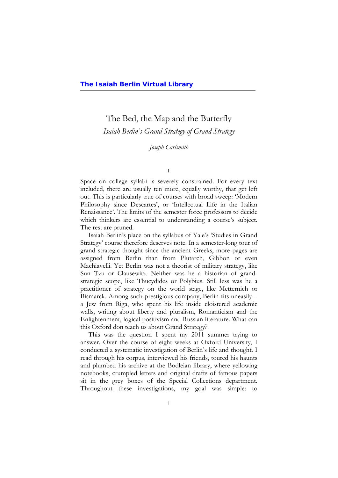# The Bed, the Map and the Butterfly

*Isaiah Berlin's Grand Strategy of Grand Strategy*

# *Joseph Carlsmith*

I

Space on college syllabi is severely constrained. For every text included, there are usually ten more, equally worthy, that get left out. This is particularly true of courses with broad sweep: 'Modern Philosophy since Descartes', or 'Intellectual Life in the Italian Renaissance'. The limits of the semester force professors to decide which thinkers are essential to understanding a course's subject. The rest are pruned.

Isaiah Berlin's place on the syllabus of Yale's 'Studies in Grand Strategy' course therefore deserves note. In a semester-long tour of grand strategic thought since the ancient Greeks, more pages are assigned from Berlin than from Plutarch, Gibbon or even Machiavelli. Yet Berlin was not a theorist of military strategy, like Sun Tzu or Clausewitz. Neither was he a historian of grandstrategic scope, like Thucydides or Polybius. Still less was he a practitioner of strategy on the world stage, like Metternich or Bismarck. Among such prestigious company, Berlin fits uneasily – a Jew from Riga, who spent his life inside cloistered academic walls, writing about liberty and pluralism, Romanticism and the Enlightenment, logical positivism and Russian literature. What can this Oxford don teach us about Grand Strategy?

This was the question I spent my 2011 summer trying to answer. Over the course of eight weeks at Oxford University, I conducted a systematic investigation of Berlin's life and thought. I read through his corpus, interviewed his friends, toured his haunts and plumbed his archive at the Bodleian library, where yellowing notebooks, crumpled letters and original drafts of famous papers sit in the grey boxes of the Special Collections department. Throughout these investigations, my goal was simple: to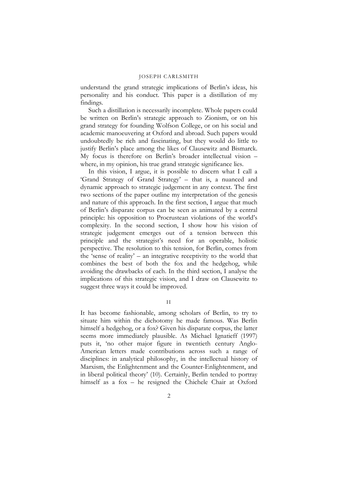understand the grand strategic implications of Berlin's ideas, his personality and his conduct. This paper is a distillation of my findings.

Such a distillation is necessarily incomplete. Whole papers could be written on Berlin's strategic approach to Zionism, or on his grand strategy for founding Wolfson College, or on his social and academic manoeuvering at Oxford and abroad. Such papers would undoubtedly be rich and fascinating, but they would do little to justify Berlin's place among the likes of Clausewitz and Bismarck. My focus is therefore on Berlin's broader intellectual vision – where, in my opinion, his true grand strategic significance lies.

In this vision, I argue, it is possible to discern what I call a 'Grand Strategy of Grand Strategy' – that is, a nuanced and dynamic approach to strategic judgement in any context. The first two sections of the paper outline my interpretation of the genesis and nature of this approach. In the first section, I argue that much of Berlin's disparate corpus can be seen as animated by a central principle: his opposition to Procrustean violations of the world's complexity. In the second section, I show how his vision of strategic judgement emerges out of a tension between this principle and the strategist's need for an operable, holistic perspective. The resolution to this tension, for Berlin, comes from the 'sense of reality' – an integrative receptivity to the world that combines the best of both the fox and the hedgehog, while avoiding the drawbacks of each. In the third section, I analyse the implications of this strategic vision, and I draw on Clausewitz to suggest three ways it could be improved.

II

It has become fashionable, among scholars of Berlin, to try to situate him within the dichotomy he made famous. Was Berlin himself a hedgehog, or a fox? Given his disparate corpus, the latter seems more immediately plausible. As Michael Ignatieff (1997) puts it, 'no other major figure in twentieth century Anglo-American letters made contributions across such a range of disciplines: in analytical philosophy, in the intellectual history of Marxism, the Enlightenment and the Counter-Enlightenment, and in liberal political theory' (10). Certainly, Berlin tended to portray himself as a fox – he resigned the Chichele Chair at Oxford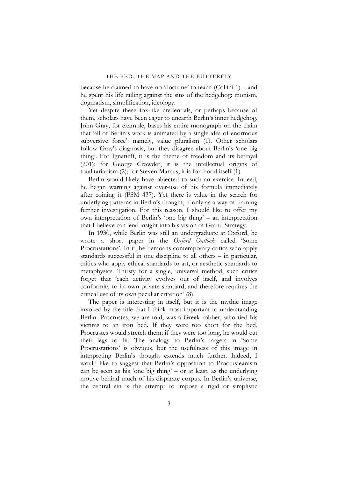because he claimed to have no 'doctrine' to teach (Collini 1) – and he spent his life railing against the sins of the hedgehog: monism, dogmatism, simplification, ideology.

Yet despite these fox-like credentials, or perhaps because of them, scholars have been eager to unearth Berlin's inner hedgehog. John Gray, for example, bases his entire monograph on the claim that 'all of Berlin's work is animated by a single idea of enormous subversive force': namely, value pluralism (1). Other scholars follow Gray's diagnosis, but they disagree about Berlin's 'one big thing'. For Ignatieff, it is the theme of freedom and its betrayal (201); for George Crowder, it is the intellectual origins of totalitarianism (2); for Steven Marcus, it is fox-hood itself (1).

Berlin would likely have objected to such an exercise. Indeed, he began warning against over-use of his formula immediately after coining it (PSM 437). Yet there is value in the search for underlying patterns in Berlin's thought, if only as a way of framing further investigation. For this reason, I should like to offer my own interpretation of Berlin's 'one big thing' – an interpretation that I believe can lend insight into his vision of Grand Strategy.

In 1930, while Berlin was still an undergraduate at Oxford, he wrote a short paper in the *Oxford Outlook* called 'Some Procrustations'. In it, he bemoans contemporary critics who apply standards successful in one discipline to all others – in particular, critics who apply ethical standards to art, or aesthetic standards to metaphysics. Thirsty for a single, universal method, such critics forget that 'each activity evolves out of itself, and involves conformity to its own private standard, and therefore requires the critical use of its own peculiar criterion' (8).

The paper is interesting in itself, but it is the mythic image invoked by the title that I think most important to understanding Berlin. Procrustes, we are told, was a Greek robber, who tied his victims to an iron bed. If they were too short for the bed, Procrustes would stretch them; if they were too long, he would cut their legs to fit. The analogy to Berlin's targets in 'Some Procrustations' is obvious, but the usefulness of this image in interpreting Berlin's thought extends much further. Indeed, I would like to suggest that Berlin's opposition to Procrusteanism can be seen as his 'one big thing' – or at least, as the underlying motive behind much of his disparate corpus. In Berlin's universe, the central sin is the attempt to impose a rigid or simplistic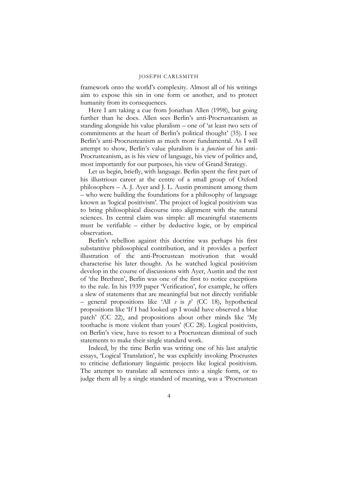framework onto the world's complexity. Almost all of his writings aim to expose this sin in one form or another, and to protect humanity from its consequences.

Here I am taking a cue from Jonathan Allen (1998), but going further than he does. Allen sees Berlin's anti-Procrusteanism as standing alongside his value pluralism – one of 'at least two sets of commitments at the heart of Berlin's political thought' (35). I see Berlin's anti-Procrusteanism as much more fundamental. As I will attempt to show, Berlin's value pluralism is a *function* of his anti-Procrusteanism, as is his view of language, his view of politics and, most importantly for our purposes, his view of Grand Strategy.

Let us begin, briefly, with language. Berlin spent the first part of his illustrious career at the centre of a small group of Oxford philosophers – A. J. Ayer and J. L. Austin prominent among them – who were building the foundations for a philosophy of language known as 'logical positivism'. The project of logical positivism was to bring philosophical discourse into alignment with the natural sciences. Its central claim was simple: all meaningful statements must be verifiable – either by deductive logic, or by empirical observation.

Berlin's rebellion against this doctrine was perhaps his first substantive philosophical contribution, and it provides a perfect illustration of the anti-Procrustean motivation that would characterise his later thought. As he watched logical positivism develop in the course of discussions with Ayer, Austin and the rest of 'the Brethren', Berlin was one of the first to notice exceptions to the rule. In his 1939 paper 'Verification', for example, he offers a slew of statements that are meaningful but not directly verifiable – general propositions like 'All *s* is *p*' (CC 18), hypothetical propositions like 'If I had looked up I would have observed a blue patch' (CC 22), and propositions about other minds like 'My toothache is more violent than yours' (CC 28). Logical positivists, on Berlin's view, have to resort to a Procrustean dismissal of such statements to make their single standard work.

Indeed, by the time Berlin was writing one of his last analytic essays, 'Logical Translation', he was explicitly invoking Procrustes to criticise deflationary linguistic projects like logical positivism. The attempt to translate all sentences into a single form, or to judge them all by a single standard of meaning, was a 'Procrustean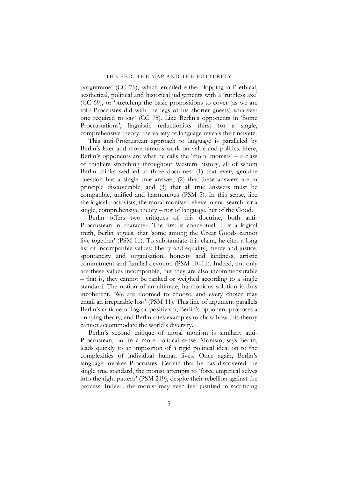programme' (CC 75), which entailed either 'lopping off' ethical, aesthetical, political and historical judgements with a 'ruthless axe' (CC 69), or 'stretching the basic propositions to cover (as we are told Procrustes did with the legs of his shorter guests) whatever one required to say' (CC 75). Like Berlin's opponents in 'Some Procrustations', linguistic reductionists thirst for a single, comprehensive theory; the variety of language reveals their naiveté.

This anti-Procrustean approach to language is paralleled by Berlin's later and more famous work on value and politics. Here, Berlin's opponents are what he calls the 'moral monists'  $-$  a class of thinkers stretching throughout Western history, all of whom Berlin thinks wedded to three doctrines: (1) that every genuine question has a single true answer, (2) that these answers are in principle discoverable, and (3) that all true answers must be compatible, unified and harmonious (PSM 5). In this sense, like the logical positivists, the moral monists believe in and search for a single, comprehensive theory – not of language, but of the Good.

Berlin offers two critiques of this doctrine, both anti-Procrustean in character. The first is conceptual. It is a logical truth, Berlin argues, that 'some among the Great Goods cannot live together' (PSM 11). To substantiate this claim, he cites a long list of incompatible values: liberty and equality, mercy and justice, spontaneity and organisation, honesty and kindness, artistic commitment and familial devotion (PSM 10–11). Indeed, not only are these values incompatible, but they are also incommensurable – that is, they cannot be ranked or weighed according to a single standard. The notion of an ultimate, harmonious solution is thus incoherent. 'We are doomed to choose, and every choice may entail an irreparable loss' (PSM 11). This line of argument parallels Berlin's critique of logical positivism; Berlin's opponent proposes a unifying theory, and Berlin cites examples to show how this theory cannot accommodate the world's diversity.

Berlin's second critique of moral monism is similarly anti-Procrustean, but in a more political sense. Monism, says Berlin, leads quickly to an imposition of a rigid political ideal on to the complexities of individual human lives. Once again, Berlin's language invokes Procrustes. Certain that he has discovered the single true standard, the monist attempts to 'force empirical selves into the right pattern' (PSM 219), despite their rebellion against the process. Indeed, the monist may even feel justified in sacrificing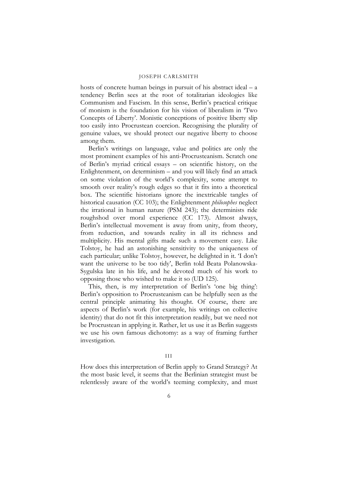hosts of concrete human beings in pursuit of his abstract ideal – a tendency Berlin sees at the root of totalitarian ideologies like Communism and Fascism. In this sense, Berlin's practical critique of monism is the foundation for his vision of liberalism in 'Two Concepts of Liberty'. Monistic conceptions of positive liberty slip too easily into Procrustean coercion. Recognising the plurality of genuine values, we should protect our negative liberty to choose among them.

Berlin's writings on language, value and politics are only the most prominent examples of his anti-Procrusteanism. Scratch one of Berlin's myriad critical essays – on scientific history, on the Enlightenment, on determinism – and you will likely find an attack on some violation of the world's complexity, some attempt to smooth over reality's rough edges so that it fits into a theoretical box. The scientific historians ignore the inextricable tangles of historical causation (CC 103); the Enlightenment *philosophes* neglect the irrational in human nature (PSM 243); the determinists ride roughshod over moral experience (CC 173). Almost always, Berlin's intellectual movement is away from unity, from theory, from reduction, and towards reality in all its richness and multiplicity. His mental gifts made such a movement easy. Like Tolstoy, he had an astonishing sensitivity to the uniqueness of each particular; unlike Tolstoy, however, he delighted in it. 'I don't want the universe to be too tidy', Berlin told Beata Polanowska-Sygulska late in his life, and he devoted much of his work to opposing those who wished to make it so (UD 125).

This, then, is my interpretation of Berlin's 'one big thing': Berlin's opposition to Procrusteanism can be helpfully seen as the central principle animating his thought. Of course, there are aspects of Berlin's work (for example, his writings on collective identity) that do not fit this interpretation readily, but we need not be Procrustean in applying it. Rather, let us use it as Berlin suggests we use his own famous dichotomy: as a way of framing further investigation.

# III

How does this interpretation of Berlin apply to Grand Strategy? At the most basic level, it seems that the Berlinian strategist must be relentlessly aware of the world's teeming complexity, and must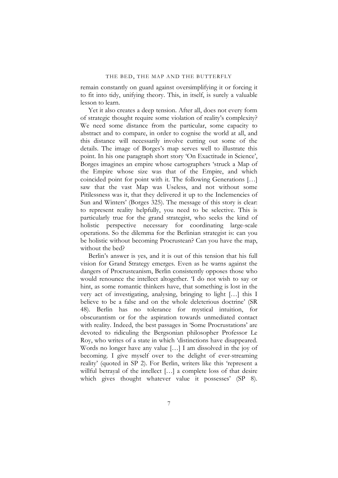remain constantly on guard against oversimplifying it or forcing it to fit into tidy, unifying theory. This, in itself, is surely a valuable lesson to learn.

Yet it also creates a deep tension. After all, does not every form of strategic thought require some violation of reality's complexity? We need some distance from the particular, some capacity to abstract and to compare, in order to cognise the world at all, and this distance will necessarily involve cutting out some of the details. The image of Borges's map serves well to illustrate this point. In his one paragraph short story 'On Exactitude in Science', Borges imagines an empire whose cartographers 'struck a Map of the Empire whose size was that of the Empire, and which coincided point for point with it. The following Generations […] saw that the vast Map was Useless, and not without some Pitilessness was it, that they delivered it up to the Inclemencies of Sun and Winters' (Borges 325). The message of this story is clear: to represent reality helpfully, you need to be selective. This is particularly true for the grand strategist, who seeks the kind of holistic perspective necessary for coordinating large-scale operations. So the dilemma for the Berlinian strategist is: can you be holistic without becoming Procrustean? Can you have the map, without the bed?

Berlin's answer is yes, and it is out of this tension that his full vision for Grand Strategy emerges. Even as he warns against the dangers of Procrusteanism, Berlin consistently opposes those who would renounce the intellect altogether. 'I do not wish to say or hint, as some romantic thinkers have, that something is lost in the very act of investigating, analysing, bringing to light […] this I believe to be a false and on the whole deleterious doctrine' (SR 48). Berlin has no tolerance for mystical intuition, for obscurantism or for the aspiration towards unmediated contact with reality. Indeed, the best passages in 'Some Procrustations' are devoted to ridiculing the Bergsonian philosopher Professor Le Roy, who writes of a state in which 'distinctions have disappeared. Words no longer have any value […] I am dissolved in the joy of becoming. I give myself over to the delight of ever-streaming reality' (quoted in SP 2). For Berlin, writers like this 'represent a willful betrayal of the intellect [...] a complete loss of that desire which gives thought whatever value it possesses' (SP 8).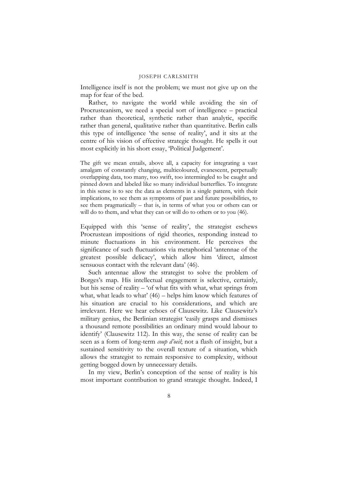Intelligence itself is not the problem; we must not give up on the map for fear of the bed.

Rather, to navigate the world while avoiding the sin of Procrusteanism, we need a special sort of intelligence – practical rather than theoretical, synthetic rather than analytic, specific rather than general, qualitative rather than quantitative. Berlin calls this type of intelligence 'the sense of reality', and it sits at the centre of his vision of effective strategic thought. He spells it out most explicitly in his short essay, 'Political Judgement'.

The gift we mean entails, above all, a capacity for integrating a vast amalgam of constantly changing, multicoloured, evanescent, perpetually overlapping data, too many, too swift, too intermingled to be caught and pinned down and labeled like so many individual butterflies. To integrate in this sense is to see the data as elements in a single pattern, with their implications, to see them as symptoms of past and future possibilities, to see them pragmatically – that is, in terms of what you or others can or will do to them, and what they can or will do to others or to you (46).

Equipped with this 'sense of reality', the strategist eschews Procrustean impositions of rigid theories, responding instead to minute fluctuations in his environment. He perceives the significance of such fluctuations via metaphorical 'antennae of the greatest possible delicacy', which allow him 'direct, almost sensuous contact with the relevant data' (46).

Such antennae allow the strategist to solve the problem of Borges's map. His intellectual engagement is selective, certainly, but his sense of reality – 'of what fits with what, what springs from what, what leads to what' (46) – helps him know which features of his situation are crucial to his considerations, and which are irrelevant. Here we hear echoes of Clausewitz. Like Clausewitz's military genius, the Berlinian strategist 'easily grasps and dismisses a thousand remote possibilities an ordinary mind would labour to identify' (Clausewitz 112). In this way, the sense of reality can be seen as a form of long-term *coup d'oeil*; not a flash of insight, but a sustained sensitivity to the overall texture of a situation, which allows the strategist to remain responsive to complexity, without getting bogged down by unnecessary details.

In my view, Berlin's conception of the sense of reality is his most important contribution to grand strategic thought. Indeed, I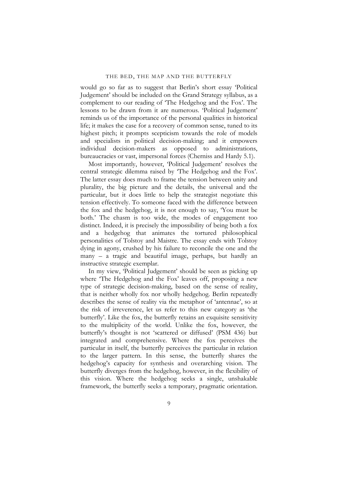would go so far as to suggest that Berlin's short essay 'Political Judgement' should be included on the Grand Strategy syllabus, as a complement to our reading of 'The Hedgehog and the Fox'. The lessons to be drawn from it are numerous. 'Political Judgement' reminds us of the importance of the personal qualities in historical life; it makes the case for a recovery of common sense, tuned to its highest pitch; it prompts scepticism towards the role of models and specialists in political decision-making; and it empowers individual decision-makers as opposed to administrations, bureaucracies or vast, impersonal forces (Cherniss and Hardy 5.1).

Most importantly, however, 'Political Judgement' resolves the central strategic dilemma raised by 'The Hedgehog and the Fox'. The latter essay does much to frame the tension between unity and plurality, the big picture and the details, the universal and the particular, but it does little to help the strategist negotiate this tension effectively. To someone faced with the difference between the fox and the hedgehog, it is not enough to say, 'You must be both.' The chasm is too wide, the modes of engagement too distinct. Indeed, it is precisely the impossibility of being both a fox and a hedgehog that animates the tortured philosophical personalities of Tolstoy and Maistre. The essay ends with Tolstoy dying in agony, crushed by his failure to reconcile the one and the many – a tragic and beautiful image, perhaps, but hardly an instructive strategic exemplar.

In my view, 'Political Judgement' should be seen as picking up where 'The Hedgehog and the Fox' leaves off, proposing a new type of strategic decision-making, based on the sense of reality, that is neither wholly fox nor wholly hedgehog. Berlin repeatedly describes the sense of reality via the metaphor of 'antennae', so at the risk of irreverence, let us refer to this new category as 'the butterfly'. Like the fox, the butterfly retains an exquisite sensitivity to the multiplicity of the world. Unlike the fox, however, the butterfly's thought is not 'scattered or diffused' (PSM 436) but integrated and comprehensive. Where the fox perceives the particular in itself, the butterfly perceives the particular in relation to the larger pattern. In this sense, the butterfly shares the hedgehog's capacity for synthesis and overarching vision. The butterfly diverges from the hedgehog, however, in the flexibility of this vision. Where the hedgehog seeks a single, unshakable framework, the butterfly seeks a temporary, pragmatic orientation.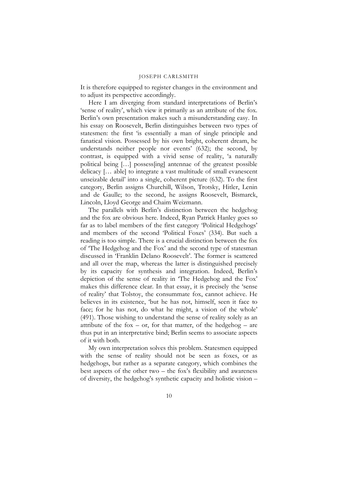It is therefore equipped to register changes in the environment and to adjust its perspective accordingly.

Here I am diverging from standard interpretations of Berlin's 'sense of reality', which view it primarily as an attribute of the fox. Berlin's own presentation makes such a misunderstanding easy. In his essay on Roosevelt, Berlin distinguishes between two types of statesmen: the first 'is essentially a man of single principle and fanatical vision. Possessed by his own bright, coherent dream, he understands neither people nor events' (632); the second, by contrast, is equipped with a vivid sense of reality, 'a naturally political being […] possess[ing] antennae of the greatest possible delicacy [… able] to integrate a vast multitude of small evanescent unseizable detail' into a single, coherent picture (632). To the first category, Berlin assigns Churchill, Wilson, Trotsky, Hitler, Lenin and de Gaulle; to the second, he assigns Roosevelt, Bismarck, Lincoln, Lloyd George and Chaim Weizmann.

The parallels with Berlin's distinction between the hedgehog and the fox are obvious here. Indeed, Ryan Patrick Hanley goes so far as to label members of the first category 'Political Hedgehogs' and members of the second 'Political Foxes' (334). But such a reading is too simple. There is a crucial distinction between the fox of 'The Hedgehog and the Fox' and the second type of statesman discussed in 'Franklin Delano Roosevelt'. The former is scattered and all over the map, whereas the latter is distinguished precisely by its capacity for synthesis and integration. Indeed, Berlin's depiction of the sense of reality in 'The Hedgehog and the Fox' makes this difference clear. In that essay, it is precisely the 'sense of reality' that Tolstoy, the consummate fox, cannot achieve. He believes in its existence, 'but he has not, himself, seen it face to face; for he has not, do what he might, a vision of the whole' (491). Those wishing to understand the sense of reality solely as an attribute of the fox – or, for that matter, of the hedgehog – are thus put in an interpretative bind; Berlin seems to associate aspects of it with both.

My own interpretation solves this problem. Statesmen equipped with the sense of reality should not be seen as foxes, or as hedgehogs, but rather as a separate category, which combines the best aspects of the other two – the fox's flexibility and awareness of diversity, the hedgehog's synthetic capacity and holistic vision –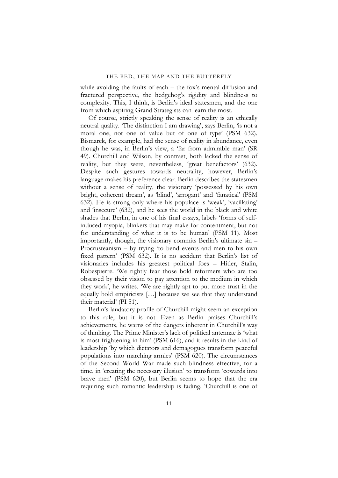while avoiding the faults of each – the fox's mental diffusion and fractured perspective, the hedgehog's rigidity and blindness to complexity. This, I think, is Berlin's ideal statesmen, and the one from which aspiring Grand Strategists can learn the most.

Of course, strictly speaking the sense of reality is an ethically neutral quality. 'The distinction I am drawing', says Berlin, 'is not a moral one, not one of value but of one of type' (PSM 632). Bismarck, for example, had the sense of reality in abundance, even though he was, in Berlin's view, a 'far from admirable man' (SR 49). Churchill and Wilson, by contrast, both lacked the sense of reality, but they were, nevertheless, 'great benefactors' (632). Despite such gestures towards neutrality, however, Berlin's language makes his preference clear. Berlin describes the statesmen without a sense of reality, the visionary 'possessed by his own bright, coherent dream', as 'blind', 'arrogant' and 'fanatical' (PSM 632). He is strong only where his populace is 'weak', 'vacillating' and 'insecure' (632), and he sees the world in the black and white shades that Berlin, in one of his final essays, labels 'forms of selfinduced myopia, blinkers that may make for contentment, but not for understanding of what it is to be human' (PSM 11). Most importantly, though, the visionary commits Berlin's ultimate sin – Procrusteanism – by trying 'to bend events and men to his own fixed pattern' (PSM 632). It is no accident that Berlin's list of visionaries includes his greatest political foes – Hitler, Stalin, Robespierre. 'We rightly fear those bold reformers who are too obsessed by their vision to pay attention to the medium in which they work', he writes. 'We are rightly apt to put more trust in the equally bold empiricists […] because we see that they understand their material' (PI 51).

Berlin's laudatory profile of Churchill might seem an exception to this rule, but it is not. Even as Berlin praises Churchill's achievements, he warns of the dangers inherent in Churchill's way of thinking. The Prime Minister's lack of political antennae is 'what is most frightening in him' (PSM 616), and it results in the kind of leadership 'by which dictators and demagogues transform peaceful populations into marching armies' (PSM 620). The circumstances of the Second World War made such blindness effective, for a time, in 'creating the necessary illusion' to transform 'cowards into brave men' (PSM 620), but Berlin seems to hope that the era requiring such romantic leadership is fading. 'Churchill is one of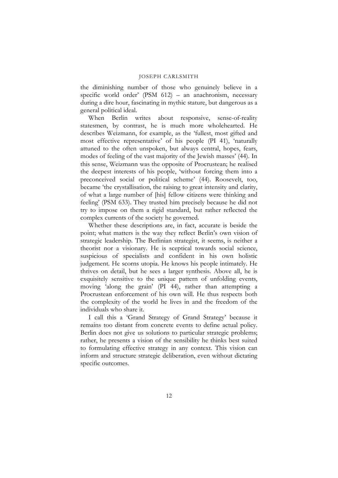the diminishing number of those who genuinely believe in a specific world order' (PSM 612) – an anachronism, necessary during a dire hour, fascinating in mythic stature, but dangerous as a general political ideal.

When Berlin writes about responsive, sense-of-reality statesmen, by contrast, he is much more wholehearted. He describes Weizmann, for example, as the 'fullest, most gifted and most effective representative' of his people (PI 41), 'naturally attuned to the often unspoken, but always central, hopes, fears, modes of feeling of the vast majority of the Jewish masses' (44). In this sense, Weizmann was the opposite of Procrustean; he realised the deepest interests of his people, 'without forcing them into a preconceived social or political scheme' (44). Roosevelt, too, became 'the crystallisation, the raising to great intensity and clarity, of what a large number of [his] fellow citizens were thinking and feeling' (PSM 633). They trusted him precisely because he did not try to impose on them a rigid standard, but rather reflected the complex currents of the society he governed.

Whether these descriptions are, in fact, accurate is beside the point; what matters is the way they reflect Berlin's own vision of strategic leadership. The Berlinian strategist, it seems, is neither a theorist nor a visionary. He is sceptical towards social science, suspicious of specialists and confident in his own holistic judgement. He scorns utopia. He knows his people intimately. He thrives on detail, but he sees a larger synthesis. Above all, he is exquisitely sensitive to the unique pattern of unfolding events, moving 'along the grain' (PI 44), rather than attempting a Procrustean enforcement of his own will. He thus respects both the complexity of the world he lives in and the freedom of the individuals who share it.

I call this a 'Grand Strategy of Grand Strategy' because it remains too distant from concrete events to define actual policy. Berlin does not give us solutions to particular strategic problems; rather, he presents a vision of the sensibility he thinks best suited to formulating effective strategy in any context. This vision can inform and structure strategic deliberation, even without dictating specific outcomes.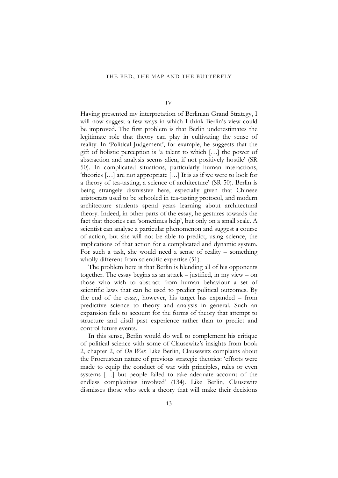IV

Having presented my interpretation of Berlinian Grand Strategy, I will now suggest a few ways in which I think Berlin's view could be improved. The first problem is that Berlin underestimates the legitimate role that theory can play in cultivating the sense of reality. In 'Political Judgement', for example, he suggests that the gift of holistic perception is 'a talent to which […] the power of abstraction and analysis seems alien, if not positively hostile' (SR 50). In complicated situations, particularly human interactions, 'theories […] are not appropriate […] It is as if we were to look for a theory of tea-tasting, a science of architecture' (SR 50). Berlin is being strangely dismissive here, especially given that Chinese aristocrats used to be schooled in tea-tasting protocol, and modern architecture students spend years learning about architectural theory. Indeed, in other parts of the essay, he gestures towards the fact that theories can 'sometimes help', but only on a small scale. A scientist can analyse a particular phenomenon and suggest a course of action, but she will not be able to predict, using science, the implications of that action for a complicated and dynamic system. For such a task, she would need a sense of reality – something wholly different from scientific expertise (51).

The problem here is that Berlin is blending all of his opponents together. The essay begins as an attack – justified, in my view – on those who wish to abstract from human behaviour a set of scientific laws that can be used to predict political outcomes. By the end of the essay, however, his target has expanded – from predictive science to theory and analysis in general. Such an expansion fails to account for the forms of theory that attempt to structure and distil past experience rather than to predict and control future events.

In this sense, Berlin would do well to complement his critique of political science with some of Clausewitz's insights from book 2, chapter 2, of *On War*. Like Berlin, Clausewitz complains about the Procrustean nature of previous strategic theories: 'efforts were made to equip the conduct of war with principles, rules or even systems […] but people failed to take adequate account of the endless complexities involved' (134). Like Berlin, Clausewitz dismisses those who seek a theory that will make their decisions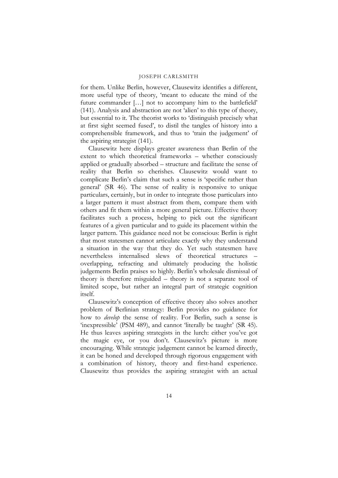for them. Unlike Berlin, however, Clausewitz identifies a different, more useful type of theory, 'meant to educate the mind of the future commander […] not to accompany him to the battlefield' (141). Analysis and abstraction are not 'alien' to this type of theory, but essential to it. The theorist works to 'distinguish precisely what at first sight seemed fused', to distil the tangles of history into a comprehensible framework, and thus to 'train the judgement' of the aspiring strategist (141).

Clausewitz here displays greater awareness than Berlin of the extent to which theoretical frameworks – whether consciously applied or gradually absorbed – structure and facilitate the sense of reality that Berlin so cherishes. Clausewitz would want to complicate Berlin's claim that such a sense is 'specific rather than general' (SR 46). The sense of reality is responsive to unique particulars, certainly, but in order to integrate those particulars into a larger pattern it must abstract from them, compare them with others and fit them within a more general picture. Effective theory facilitates such a process, helping to pick out the significant features of a given particular and to guide its placement within the larger pattern. This guidance need not be conscious: Berlin is right that most statesmen cannot articulate exactly why they understand a situation in the way that they do. Yet such statesmen have nevertheless internalised slews of theoretical structures – overlapping, refracting and ultimately producing the holistic judgements Berlin praises so highly. Berlin's wholesale dismissal of theory is therefore misguided – theory is not a separate tool of limited scope, but rather an integral part of strategic cognition itself.

Clausewitz's conception of effective theory also solves another problem of Berlinian strategy: Berlin provides no guidance for how to *develop* the sense of reality. For Berlin, such a sense is 'inexpressible' (PSM 489), and cannot 'literally be taught' (SR 45). He thus leaves aspiring strategists in the lurch: either you've got the magic eye, or you don't. Clausewitz's picture is more encouraging. While strategic judgement cannot be learned directly, it can be honed and developed through rigorous engagement with a combination of history, theory and first-hand experience. Clausewitz thus provides the aspiring strategist with an actual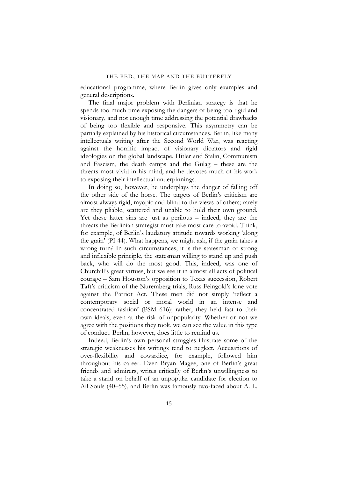educational programme, where Berlin gives only examples and general descriptions.

The final major problem with Berlinian strategy is that he spends too much time exposing the dangers of being too rigid and visionary, and not enough time addressing the potential drawbacks of being too flexible and responsive. This asymmetry can be partially explained by his historical circumstances. Berlin, like many intellectuals writing after the Second World War, was reacting against the horrific impact of visionary dictators and rigid ideologies on the global landscape. Hitler and Stalin, Communism and Fascism, the death camps and the Gulag – these are the threats most vivid in his mind, and he devotes much of his work to exposing their intellectual underpinnings.

In doing so, however, he underplays the danger of falling off the other side of the horse. The targets of Berlin's criticism are almost always rigid, myopic and blind to the views of others; rarely are they pliable, scattered and unable to hold their own ground. Yet these latter sins are just as perilous – indeed, they are the threats the Berlinian strategist must take most care to avoid. Think, for example, of Berlin's laudatory attitude towards working 'along the grain' (PI 44). What happens, we might ask, if the grain takes a wrong turn? In such circumstances, it is the statesman of strong and inflexible principle, the statesman willing to stand up and push back, who will do the most good. This, indeed, was one of Churchill's great virtues, but we see it in almost all acts of political courage – Sam Houston's opposition to Texas succession, Robert Taft's criticism of the Nuremberg trials, Russ Feingold's lone vote against the Patriot Act. These men did not simply 'reflect a contemporary social or moral world in an intense and concentrated fashion' (PSM 616); rather, they held fast to their own ideals, even at the risk of unpopularity. Whether or not we agree with the positions they took, we can see the value in this type of conduct. Berlin, however, does little to remind us.

Indeed, Berlin's own personal struggles illustrate some of the strategic weaknesses his writings tend to neglect. Accusations of over-flexibility and cowardice, for example, followed him throughout his career. Even Bryan Magee, one of Berlin's great friends and admirers, writes critically of Berlin's unwillingness to take a stand on behalf of an unpopular candidate for election to All Souls (40–55), and Berlin was famously two-faced about A. L.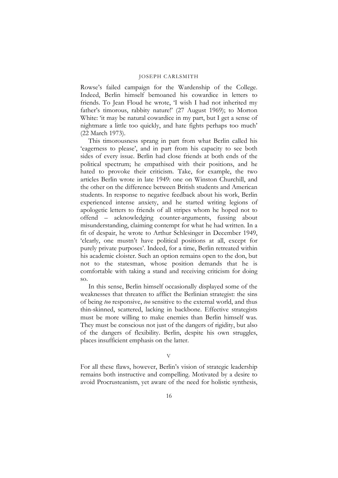Rowse's failed campaign for the Wardenship of the College. Indeed, Berlin himself bemoaned his cowardice in letters to friends. To Jean Floud he wrote, 'I wish I had not inherited my father's timorous, rabbity nature!' (27 August 1969); to Morton White: 'it may be natural cowardice in my part, but I get a sense of nightmare a little too quickly, and hate fights perhaps too much' (22 March 1973).

This timorousness sprang in part from what Berlin called his 'eagerness to please', and in part from his capacity to see both sides of every issue. Berlin had close friends at both ends of the political spectrum; he empathised with their positions, and he hated to provoke their criticism. Take, for example, the two articles Berlin wrote in late 1949: one on Winston Churchill, and the other on the difference between British students and American students. In response to negative feedback about his work, Berlin experienced intense anxiety, and he started writing legions of apologetic letters to friends of all stripes whom he hoped not to offend – acknowledging counter-arguments, fussing about misunderstanding, claiming contempt for what he had written. In a fit of despair, he wrote to Arthur Schlesinger in December 1949, 'clearly, one mustn't have political positions at all, except for purely private purposes'. Indeed, for a time, Berlin retreated within his academic cloister. Such an option remains open to the don, but not to the statesman, whose position demands that he is comfortable with taking a stand and receiving criticism for doing so.

In this sense, Berlin himself occasionally displayed some of the weaknesses that threaten to afflict the Berlinian strategist: the sins of being *too* responsive, *too* sensitive to the external world, and thus thin-skinned, scattered, lacking in backbone. Effective strategists must be more willing to make enemies than Berlin himself was. They must be conscious not just of the dangers of rigidity, but also of the dangers of flexibility. Berlin, despite his own struggles, places insufficient emphasis on the latter.

V

For all these flaws, however, Berlin's vision of strategic leadership remains both instructive and compelling. Motivated by a desire to avoid Procrusteanism, yet aware of the need for holistic synthesis,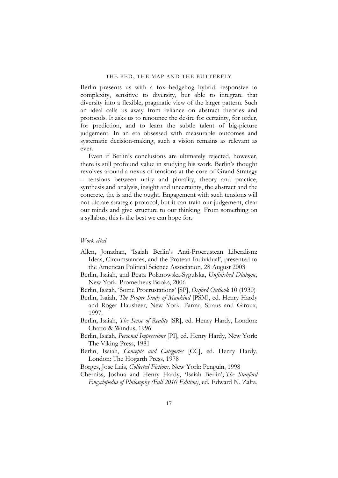Berlin presents us with a fox–hedgehog hybrid: responsive to complexity, sensitive to diversity, but able to integrate that diversity into a flexible, pragmatic view of the larger pattern. Such an ideal calls us away from reliance on abstract theories and protocols. It asks us to renounce the desire for certainty, for order, for prediction, and to learn the subtle talent of big-picture judgement. In an era obsessed with measurable outcomes and systematic decision-making, such a vision remains as relevant as ever.

Even if Berlin's conclusions are ultimately rejected, however, there is still profound value in studying his work. Berlin's thought revolves around a nexus of tensions at the core of Grand Strategy – tensions between unity and plurality, theory and practice, synthesis and analysis, insight and uncertainty, the abstract and the concrete, the is and the ought. Engagement with such tensions will not dictate strategic protocol, but it can train our judgement, clear our minds and give structure to our thinking. From something on a syllabus, this is the best we can hope for.

### *Work cited*

- Allen, Jonathan, 'Isaiah Berlin's Anti-Procrustean Liberalism: Ideas, Circumstances, and the Protean Individual', presented to the American Political Science Association, 28 August 2003
- Berlin, Isaiah, and Beata Polanowska-Sygulska, *Unfinished Dialogue*, New York: Prometheus Books, 2006
- Berlin, Isaiah, 'Some Procrustations' [SP], *Oxford Outlook* 10 (1930)
- Berlin, Isaiah, *The Proper Study of Mankind* [PSM], ed. Henry Hardy and Roger Hausheer, New York: Farrar, Straus and Giroux, 1997.
- Berlin, Isaiah, *The Sense of Reality* [SR], ed. Henry Hardy, London: Chatto & Windus, 1996
- Berlin, Isaiah, *Personal Impressions* [PI], ed. Henry Hardy, New York: The Viking Press, 1981
- Berlin, Isaiah, *Concepts and Categories* [CC], ed. Henry Hardy, London: The Hogarth Press, 1978

Borges, Jose Luis, *Collected Fictions,* New York: Penguin, 1998

Cherniss, Joshua and Henry Hardy, 'Isaiah Berlin', *The Stanford Encyclopedia of Philosophy (Fall 2010 Edition)*, ed. Edward N. Zalta,